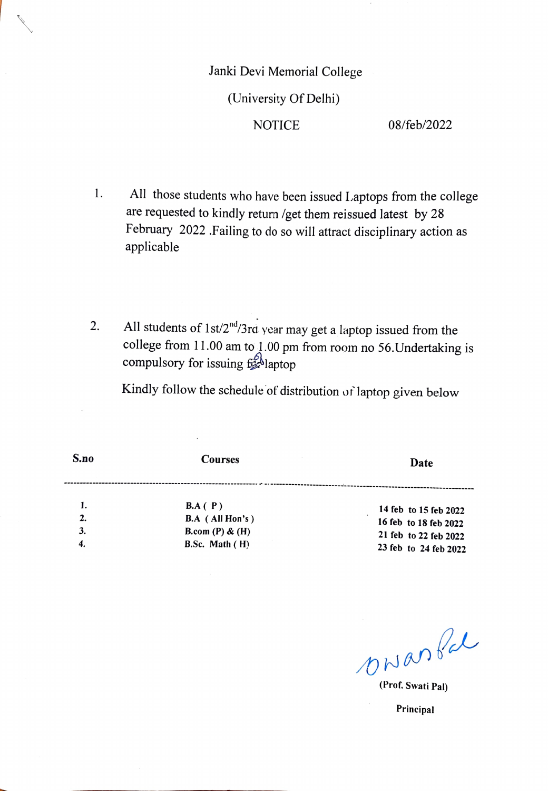## Janki Devi Memorial College (University Of Delhi) NOTICE 08/feb/2022

- 1. All those students who have been issued Laptops from the college are requested to kindly return /get them reissued latest by 28 February 2022 .Failing to do so will attract disciplinary action as applicable
- 2. All students of  $1 \frac{\text{st}}{2^{nd}}$  year may get a laptop issued from the college from  $11.00$  am to  $1.00$  pm from room no 56. Undertaking is compulsory for issuing  $f_{\mathcal{A}}^{\delta}$ laptop

Kindly follow the schedule of distribution or laptop given below

| S.no             | <b>Courses</b>                                                           | Date                                                                                             |
|------------------|--------------------------------------------------------------------------|--------------------------------------------------------------------------------------------------|
| 1.               | BA(P)<br><b>B.A</b> (All Hon's)<br>B.com $(P)$ & $(H)$<br>B.Sc. Math (H) | 14 feb to 15 feb 2022<br>16 feb to 18 feb 2022<br>21 feb to 22 feb 2022<br>23 feb to 24 feb 2022 |
| 2.<br>3.         |                                                                          |                                                                                                  |
| $\boldsymbol{4}$ |                                                                          |                                                                                                  |

Ξ.

ONanA

(Prof. Swati Pal)

Principal